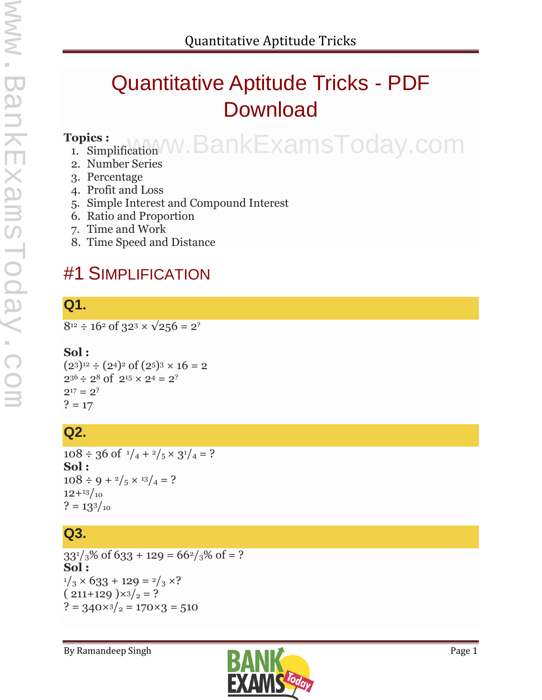## Quantitative Aptitude Tricks - PDF Download

#### **Topics :**

# opics: instruction w.BankExamsToday.com

- 2. Number Series
- 3. Percentage
- 4. Profit and Loss
- 5. Simple Interest and Compound Interest
- 6. Ratio and Proportion
- 7. Time and Work
- 8. Time Speed and Distance

## #1 SIMPLIFICATION

## **Q1.**

 $8^{12} \div 16^2$  of  $32^3 \times \sqrt{256} = 2^?$ 

#### **Sol :**

 $(2^3)^{12} \div (2^4)^2$  of  $(2^5)^3 \times 16 = 2$  $2^{36} \div 2^8$  of  $2^{15} \times 2^4 = 2^?$  $2^{17} = 2^?$  $? = 17$ 

#### **Q2.**

 $108 \div 36$  of  $\frac{1}{4} + \frac{2}{5} \times \frac{31}{4} = ?$ **Sol :**  $108 \div 9 + \frac{2}{5} \times \frac{13}{4} = ?$  $12+13/10$  $? = 13^{3}/_{10}$ 

## **Q3.**

 $33^{1}/3\%$  of 633 + 129 = 66<sup>2</sup>/<sub>3</sub>% of = ? **Sol :**  $1/3 \times 633 + 129 = 2/3 \times ?$  $(211+129) \times 3/2 = ?$  $? = 340 \times 3 /_{2} = 170 \times 3 = 510$ 

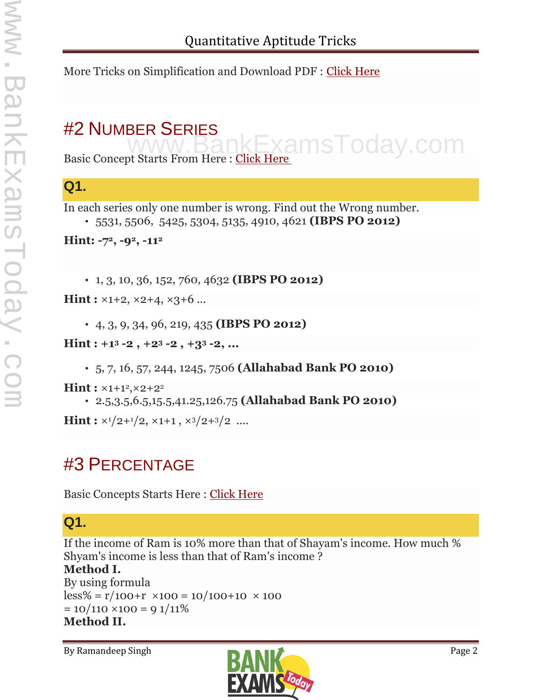More Tricks on Simplification and Download PDF : Click Here

## #2 NUMBER SERIES

Basic Concept Starts From Here : Click Here ExamsToday.com

## **Q1.**

In each series only one number is wrong. Find out the Wrong number.

```
 5531, 5506, 5425, 5304, 5135, 4910, 4621 (IBPS PO 2012)
```
**Hint: -72, -92, -11<sup>2</sup>**

1, 3, 10, 36, 152, 760, 4632 **(IBPS PO 2012)**

**Hint :** ×1+2, ×2+4, ×3+6 ...

4, 3, 9, 34, 96, 219, 435 **(IBPS PO 2012)**

**Hint : +1<sup>3</sup> -2 , +2<sup>3</sup> -2 , +3<sup>3</sup> -2, ...**

5, 7, 16, 57, 244, 1245, 7506 **(Allahabad Bank PO 2010)**

 $\text{Hint}: x_{1+1^2}$ ,  $x_{2+2^2}$ 

2.5,3.5,6.5,15.5,41.25,126.75 **(Allahabad Bank PO 2010)**

**Hint :**  $\times$ <sup>1</sup>/2+<sup>1</sup>/2,  $\times$ 1+1,  $\times$ <sup>3</sup>/2+<sup>3</sup>/2 ....

## #3 PERCENTAGE

Basic Concepts Starts Here : Click Here

## **Q1.**

If the income of Ram is 10% more than that of Shayam's income. How much % Shyam's income is less than that of Ram's income ? **Method I.** By using formula

 $\text{less}\% = \text{r}/100+\text{r} \times 100 = 10/100+10 \times 100$  $= 10/110 \times 100 = 91/11\%$ **Method II.**

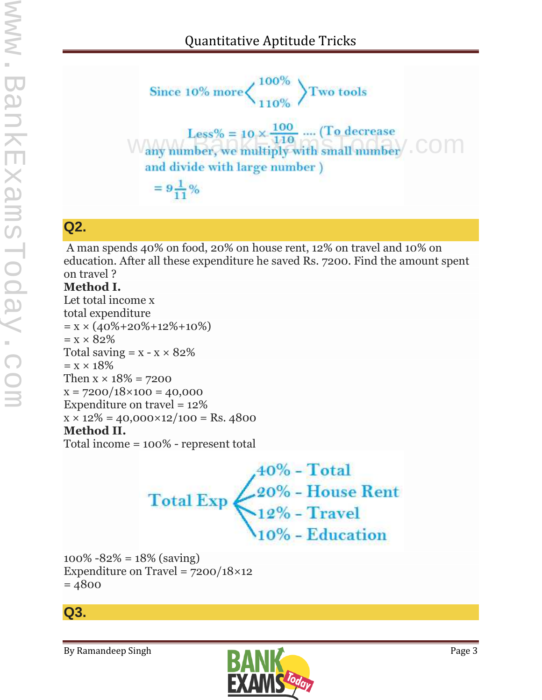www.BankExamsToday.com www.BankExamsToday.c

Since 10% more 
$$
\left\{\n\begin{array}{l}\n100\% \\
110\% \\
110\% \\
\end{array}\n\right\}
$$
 Two tools   
\n
$$
Less\% = 10 \times \frac{100}{110} .... (To decrease \nany number, we multiply with small number) . COM\nand divide with large number )\n=  $9\frac{1}{11}\%$
$$

## **Q2.**

A man spends 40% on food, 20% on house rent, 12% on travel and 10% on education. After all these expenditure he saved Rs. 7200. Find the amount spent on travel ?

#### **Method I.**

Let total income x total expenditure  $= x \times (40\% + 20\% + 12\% + 10\%)$  $= x \times 82\%$ Total saving  $= x - x \times 82\%$  $= x \times 18\%$ Then  $x \times 18\% = 7200$  $x = 7200/18 \times 100 = 40,000$ Expenditure on travel = 12%  $x \times 12\% = 40,000 \times 12/100 =$ Rs. 4800 **Method II.** Total income = 100% - represent total

> $\begin{cases}\n40\% - Total \\
> 20\% - House Rent \\
> 12\% - Travel \\
> 10\% - Education\n\end{cases}$ **Total Exp**

100%  $-82\% = 18\%$  (saving) Expenditure on Travel =  $7200/18\times12$  $= 4800$ 

#### **Q3.**

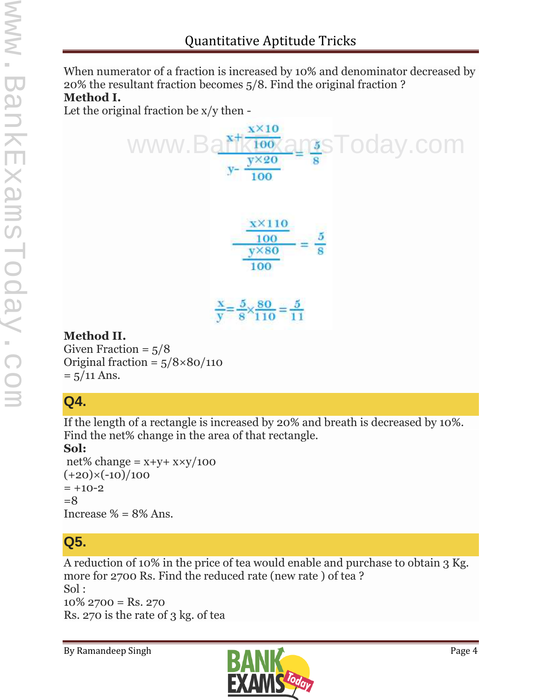When numerator of a fraction is increased by 10% and denominator decreased by 20% the resultant fraction becomes 5/8. Find the original fraction ? **Method I.**

Let the original fraction be x/y then -



#### **Method II.**

Given Fraction  $= 5/8$ Original fraction =  $5/8 \times 80/110$  $= 5/11$  Ans.

## **Q4.**

If the length of a rectangle is increased by 20% and breath is decreased by 10%. Find the net% change in the area of that rectangle.

#### **Sol:**

net% change =  $x+y+ x\times y/100$  $(+20)\times(-10)/100$  $= +10-2$  $=8$ Increase  $\% = 8\%$  Ans.

## **Q5.**

A reduction of 10% in the price of tea would enable and purchase to obtain 3 Kg. more for 2700 Rs. Find the reduced rate (new rate ) of tea ? Sol :  $10\%$  2700 = Rs. 270 Rs. 270 is the rate of 3 kg. of tea

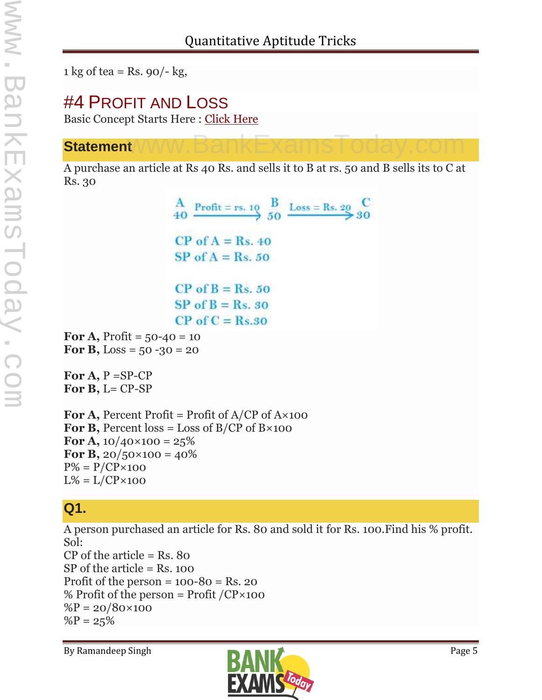1 kg of tea = Rs.  $90/-$  kg,

## #4 PROFIT AND LOSS

Basic Concept Starts Here : Click Here

#### **Statement**  $www.BankExams$ Today.com

A purchase an article at Rs 40 Rs. and sells it to B at rs. 50 and B sells its to C at Rs. 30

> $\frac{A}{40}$  Profit = rs. 10  $\frac{B}{50}$  Loss = Rs. 20  $\frac{C}{30}$  $CP$  of  $A = Rs. 40$  $SP of A = Rs. 50$  $CP$  of  $B = Rs. 50$  $SP$  of  $B = Rs$ , 30  $CP$  of  $C = Rs.30$

**For A, Profit =**  $50-40 = 10$ **For B,** Loss =  $50 - 30 = 20$ 

**For A,** P =SP-CP For **B**, L= CP-SP

**For A, Percent Profit = Profit of**  $A/CP$  **of**  $A \times 100$ **For B,** Percent  $\cos = \text{Loss of B/CP of B} \times 100$ **For A,**  $10/40 \times 100 = 25\%$ **For B,**  $20/50 \times 100 = 40\%$  $P\% = P/CP \times 100$  $L\% = L/CP \times 100$ 

## **Q1.**

A person purchased an article for Rs. 80 and sold it for Rs. 100.Find his % profit. Sol:

 $CP$  of the article = Rs. 80 SP of the article = Rs. 100 Profit of the person  $= 100-80 = \text{Rs. } 20$ % Profit of the person = Profit  $/CP \times 100$  $\%P = 20/80 \times 100$  $%P = 25%$ 

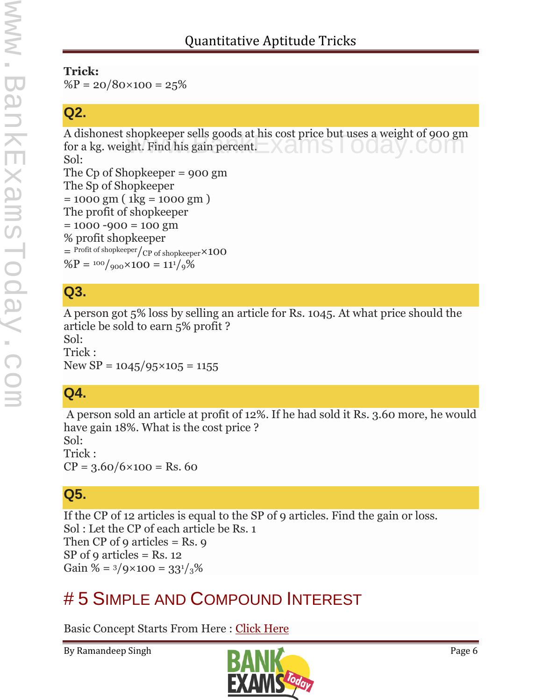#### **Trick:**

 $\%P = 20/80 \times 100 = 25\%$ 

#### **Q2.**

A dishonest shopkeeper sells goods at his cost price but uses a weight of 900 gm<br>for a kg. weight. Find his gain percent. for a kg. weight. Find his gain percent. Sol: The Cp of Shopkeeper = 900 gm The Sp of Shopkeeper  $= 1000$  gm ( 1kg = 1000 gm ) The profit of shopkeeper  $= 1000 - 900 = 100$  gm % profit shopkeeper  $=$  Profit of shopkeeper $\frac{1}{CP}$  of shopkeeper  $\times$  100  $\%P = \frac{100}{900} \times 100 = 11\frac{1}{9}\%$ 

## **Q3.**

A person got 5% loss by selling an article for Rs. 1045. At what price should the article be sold to earn 5% profit ?

Sol:

Trick : New  $SP = 1045/95 \times 105 = 1155$ 

## **Q4.**

A person sold an article at profit of 12%. If he had sold it Rs. 3.60 more, he would have gain 18%. What is the cost price ?

Sol: Trick :  $CP = 3.60/6 \times 100 =$ Rs. 60

## **Q5.**

If the CP of 12 articles is equal to the SP of 9 articles. Find the gain or loss. Sol : Let the CP of each article be Rs. 1 Then CP of 9 articles  $=$  Rs. 9 SP of 9 articles = Rs.  $12$ Gain % =  $3/9 \times 100 = 33^{1}/3\%$ 

## # 5 SIMPLE AND COMPOUND INTEREST

Basic Concept Starts From Here : Click Here

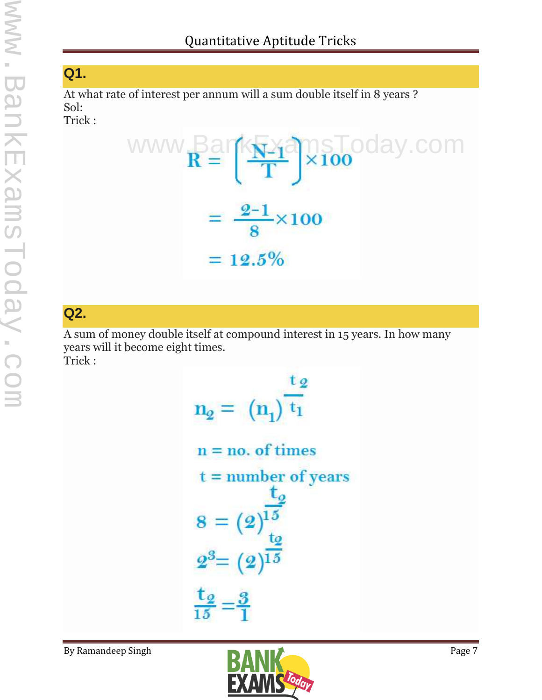## **Q1.**

At what rate of interest per annum will a sum double itself in 8 years ? Sol: Trick :



## **Q2.**

A sum of money double itself at compound interest in 15 years. In how many years will it become eight times. Trick :

```
t_{2}\mathbf{n}_2 = (\mathbf{n}_1) \mathbf{t}_1n = no. of times
t = number of years
8 = (2)^{\frac{15}{15}}<br>
2^3 = (2)^{\frac{10}{15}}\frac{\mathsf{t}_2}{\mathsf{t}_5} = \frac{3}{1}
```
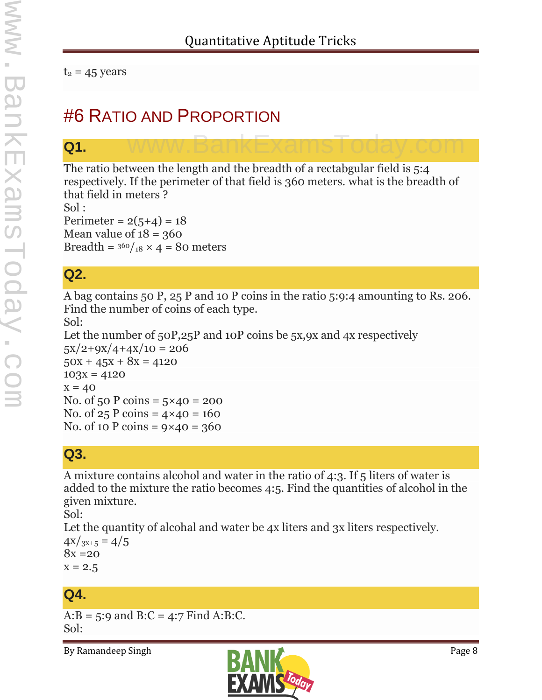$t_2$  = 45 years

## #6 RATIO AND PROPORTION

#### **Q1.**

The ratio between the length and the breadth of a rectabgular field is 5:4 respectively. If the perimeter of that field is 360 meters. what is the breadth of that field in meters ?

www.BankExamsToday.com

Sol : Perimeter =  $2(5+4) = 18$ Mean value of  $18 = 360$ Breadth =  $360/18 \times 4 = 80$  meters

## **Q2.**

A bag contains 50 P, 25 P and 10 P coins in the ratio 5:9:4 amounting to Rs. 206. Find the number of coins of each type.

Sol: Let the number of 50P,25P and 10P coins be 5x,9x and 4x respectively  $5x/2+9x/4+4x/10 = 206$  $50x + 45x + 8x = 4120$  $103x = 4120$  $x = 40$ No. of 50 P coins =  $5 \times 40 = 200$ No. of  $25$  P coins =  $4 \times 40 = 160$ No. of 10 P coins =  $9 \times 40 = 360$ 

#### **Q3.**

A mixture contains alcohol and water in the ratio of 4:3. If 5 liters of water is added to the mixture the ratio becomes 4:5. Find the quantities of alcohol in the given mixture.

Sol:

Let the quantity of alcohal and water be 4x liters and 3x liters respectively.  $4x/3x+5 = 4/5$  $8x = 20$  $x = 2.5$ 

## **Q4.**

A: $B = 5:9$  and  $B:C = 4:7$  Find A:B:C. Sol:

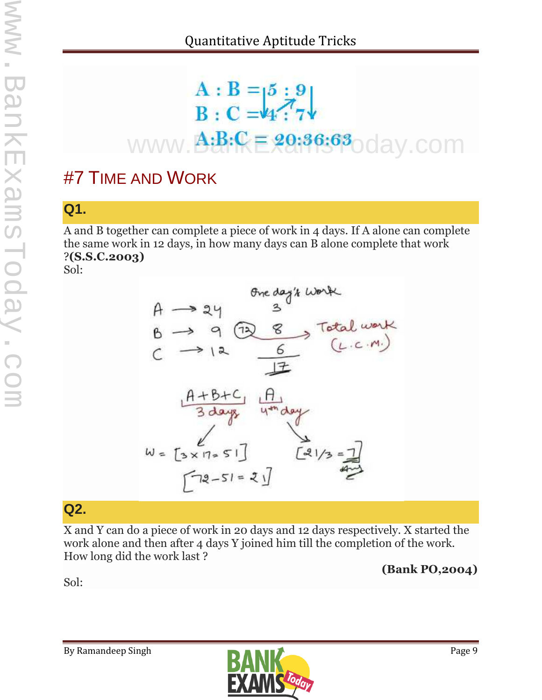# A : B =  $5 : 9$ <br>B : C = 4:7 www.**A:B:CE 29:36:63**oday.com

## #7 TIME AND WORK

## **Q1.**

A and B together can complete a piece of work in 4 days. If A alone can complete the same work in 12 days, in how many days can B alone complete that work ?**(S.S.C.2003)**

Sol:



## **Q2.**

X and Y can do a piece of work in 20 days and 12 days respectively. X started the work alone and then after 4 days Y joined him till the completion of the work. How long did the work last ?

#### **(Bank PO,2004)**

Sol:

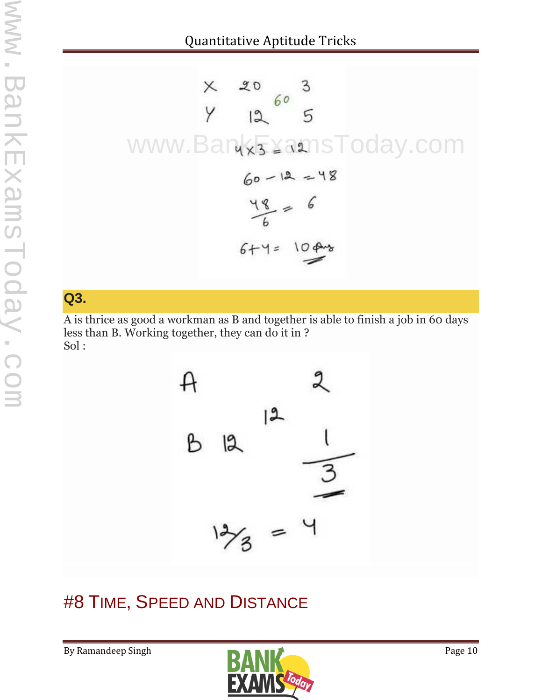$$
\times
$$
 20 3  
\n $\times$  12 5  
\n $\times$  12 5  
\n5  
\n $\times$  20 3  
\n5  
\n5  
\n60 - 12 = 48  
\n $\frac{48}{6} = 6$   
\n6+4 = 10 43

#### **Q3.**

A is thrice as good a workman as B and together is able to finish a job in 60 days less than B. Working together, they can do it in ? Sol :



## #8 TIME, SPEED AND DISTANCE

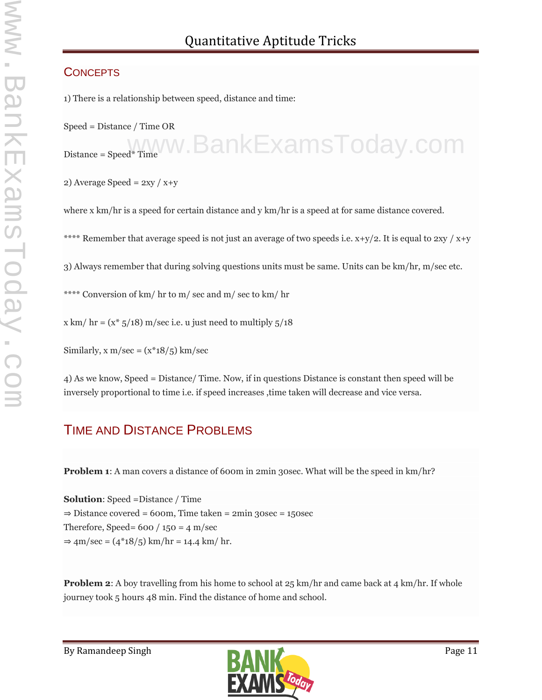#### **CONCEPTS**

1) There is a relationship between speed, distance and time:

Speed = Distance / Time OR

Distance = Speed\* Time W. BankExamsToday.com

2) Average Speed =  $2xy / x+y$ 

where x km/hr is a speed for certain distance and y km/hr is a speed at for same distance covered.

\*\*\*\* Remember that average speed is not just an average of two speeds i.e.  $x+y/2$ . It is equal to  $2xy / x+y$ 

3) Always remember that during solving questions units must be same. Units can be km/hr, m/sec etc.

\*\*\*\* Conversion of km/ hr to m/ sec and m/ sec to km/ hr

x km/ hr =  $(x * 5/18)$  m/sec i.e. u just need to multiply  $5/18$ 

Similarly,  $x \text{ m/sec} = (x^*18/5) \text{ km/sec}$ 

4) As we know, Speed = Distance/ Time. Now, if in questions Distance is constant then speed will be inversely proportional to time i.e. if speed increases ,time taken will decrease and vice versa.

#### TIME AND DISTANCE PROBLEMS

**Problem 1**: A man covers a distance of 600m in 2min 30sec. What will be the speed in km/hr?

**Solution**: Speed =Distance / Time  $\Rightarrow$  Distance covered = 600m, Time taken = 2min 30sec = 150sec Therefore, Speed=  $600 / 150 = 4 \text{ m/sec}$  $\Rightarrow$  4m/sec = (4\*18/5) km/hr = 14.4 km/ hr.

**Problem 2**: A boy travelling from his home to school at 25 km/hr and came back at 4 km/hr. If whole journey took 5 hours 48 min. Find the distance of home and school.